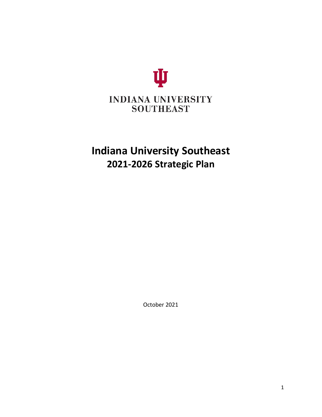

# **Indiana University Southeast 2021-2026 Strategic Plan**

October 2021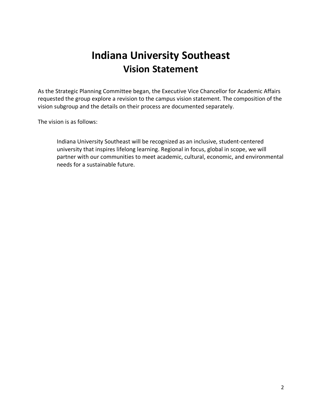# **Indiana University Southeast Vision Statement**

As the Strategic Planning Committee began, the Executive Vice Chancellor for Academic Affairs requested the group explore a revision to the campus vision statement. The composition of the vision subgroup and the details on their process are documented separately.

The vision is as follows:

Indiana University Southeast will be recognized as an inclusive, student-centered university that inspires lifelong learning. Regional in focus, global in scope, we will partner with our communities to meet academic, cultural, economic, and environmental needs for a sustainable future.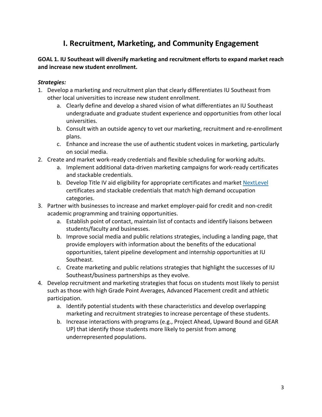# **I. Recruitment, Marketing, and Community Engagement**

## **GOAL 1. IU Southeast will diversify marketing and recruitment efforts to expand market reach and increase new student enrollment.**

- 1. Develop a marketing and recruitment plan that clearly differentiates IU Southeast from other local universities to increase new student enrollment.
	- a. Clearly define and develop a shared vision of what differentiates an IU Southeast undergraduate and graduate student experience and opportunities from other local universities.
	- b. Consult with an outside agency to vet our marketing, recruitment and re-enrollment plans.
	- c. Enhance and increase the use of authentic student voices in marketing, particularly on social media.
- 2. Create and market work-ready credentials and flexible scheduling for working adults.
	- a. Implement additional data-driven marketing campaigns for work-ready certificates and stackable credentials.
	- b. Develop Title IV aid eligibility for appropriate certificates and market [NextLevel](https://nextleveljobs.org/) certificates and stackable credentials that match high demand occupation categories.
- 3. Partner with businesses to increase and market employer-paid for credit and non-credit academic programming and training opportunities.
	- a. Establish point of contact, maintain list of contacts and identify liaisons between students/faculty and businesses.
	- b. Improve social media and public relations strategies, including a landing page, that provide employers with information about the benefits of the educational opportunities, talent pipeline development and internship opportunities at IU Southeast.
	- c. Create marketing and public relations strategies that highlight the successes of IU Southeast/business partnerships as they evolve.
- 4. Develop recruitment and marketing strategies that focus on students most likely to persist such as those with high Grade Point Averages, Advanced Placement credit and athletic participation.
	- a. Identify potential students with these characteristics and develop overlapping marketing and recruitment strategies to increase percentage of these students.
	- b. Increase interactions with programs (e.g., Project Ahead, Upward Bound and GEAR UP) that identify those students more likely to persist from among underrepresented populations.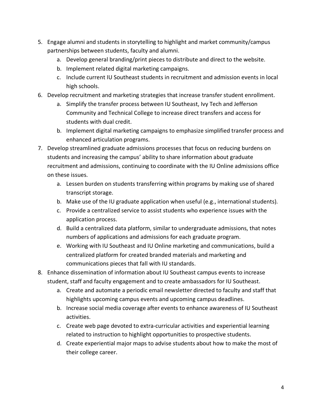- 5. Engage alumni and students in storytelling to highlight and market community/campus partnerships between students, faculty and alumni.
	- a. Develop general branding/print pieces to distribute and direct to the website.
	- b. Implement related digital marketing campaigns.
	- c. Include current IU Southeast students in recruitment and admission events in local high schools.
- 6. Develop recruitment and marketing strategies that increase transfer student enrollment.
	- a. Simplify the transfer process between IU Southeast, Ivy Tech and Jefferson Community and Technical College to increase direct transfers and access for students with dual credit.
	- b. Implement digital marketing campaigns to emphasize simplified transfer process and enhanced articulation programs.
- 7. Develop streamlined graduate admissions processes that focus on reducing burdens on students and increasing the campus' ability to share information about graduate recruitment and admissions, continuing to coordinate with the IU Online admissions office on these issues.
	- a. Lessen burden on students transferring within programs by making use of shared transcript storage.
	- b. Make use of the IU graduate application when useful (e.g., international students).
	- c. Provide a centralized service to assist students who experience issues with the application process.
	- d. Build a centralized data platform, similar to undergraduate admissions, that notes numbers of applications and admissions for each graduate program.
	- e. Working with IU Southeast and IU Online marketing and communications, build a centralized platform for created branded materials and marketing and communications pieces that fall with IU standards.
- 8. Enhance dissemination of information about IU Southeast campus events to increase student, staff and faculty engagement and to create ambassadors for IU Southeast.
	- a. Create and automate a periodic email newsletter directed to faculty and staff that highlights upcoming campus events and upcoming campus deadlines.
	- b. Increase social media coverage after events to enhance awareness of IU Southeast activities.
	- c. Create web page devoted to extra-curricular activities and experiential learning related to instruction to highlight opportunities to prospective students.
	- d. Create experiential major maps to advise students about how to make the most of their college career.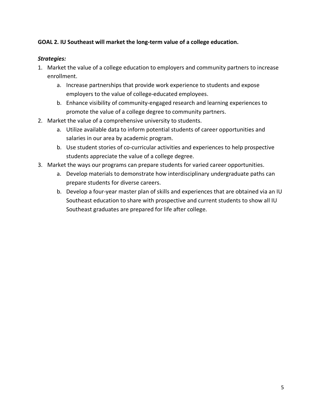#### **GOAL 2. IU Southeast will market the long-term value of a college education.**

- 1. Market the value of a college education to employers and community partners to increase enrollment.
	- a. Increase partnerships that provide work experience to students and expose employers to the value of college-educated employees.
	- b. Enhance visibility of community-engaged research and learning experiences to promote the value of a college degree to community partners.
- 2. Market the value of a comprehensive university to students.
	- a. Utilize available data to inform potential students of career opportunities and salaries in our area by academic program.
	- b. Use student stories of co-curricular activities and experiences to help prospective students appreciate the value of a college degree.
- 3. Market the ways our programs can prepare students for varied career opportunities.
	- a. Develop materials to demonstrate how interdisciplinary undergraduate paths can prepare students for diverse careers.
	- b. Develop a four-year master plan of skills and experiences that are obtained via an IU Southeast education to share with prospective and current students to show all IU Southeast graduates are prepared for life after college.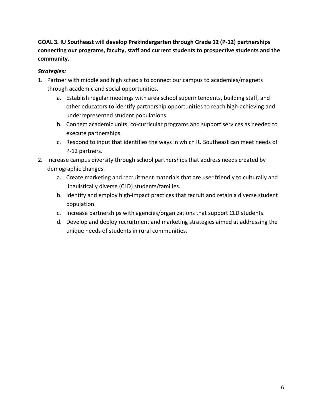## **GOAL 3. IU Southeast will develop Prekindergarten through Grade 12 (P-12) partnerships connecting our programs, faculty, staff and current students to prospective students and the community.**

- 1. Partner with middle and high schools to connect our campus to academies/magnets through academic and social opportunities.
	- a. Establish regular meetings with area school superintendents, building staff, and other educators to identify partnership opportunities to reach high-achieving and underrepresented student populations.
	- b. Connect academic units, co-curricular programs and support services as needed to execute partnerships.
	- c. Respond to input that identifies the ways in which IU Southeast can meet needs of P-12 partners.
- 2. Increase campus diversity through school partnerships that address needs created by demographic changes.
	- a. Create marketing and recruitment materials that are user friendly to culturally and linguistically diverse (CLD) students/families.
	- b. Identify and employ high-impact practices that recruit and retain a diverse student population.
	- c. Increase partnerships with agencies/organizations that support CLD students.
	- d. Develop and deploy recruitment and marketing strategies aimed at addressing the unique needs of students in rural communities.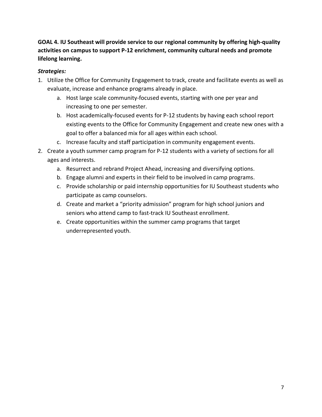## **GOAL 4. IU Southeast will provide service to our regional community by offering high-quality activities on campus to support P-12 enrichment, community cultural needs and promote lifelong learning.**

- 1. Utilize the Office for Community Engagement to track, create and facilitate events as well as evaluate, increase and enhance programs already in place.
	- a. Host large scale community-focused events, starting with one per year and increasing to one per semester.
	- b. Host academically-focused events for P-12 students by having each school report existing events to the Office for Community Engagement and create new ones with a goal to offer a balanced mix for all ages within each school.
	- c. Increase faculty and staff participation in community engagement events.
- 2. Create a youth summer camp program for P-12 students with a variety of sections for all ages and interests.
	- a. Resurrect and rebrand Project Ahead, increasing and diversifying options.
	- b. Engage alumni and experts in their field to be involved in camp programs.
	- c. Provide scholarship or paid internship opportunities for IU Southeast students who participate as camp counselors.
	- d. Create and market a "priority admission" program for high school juniors and seniors who attend camp to fast-track IU Southeast enrollment.
	- e. Create opportunities within the summer camp programs that target underrepresented youth.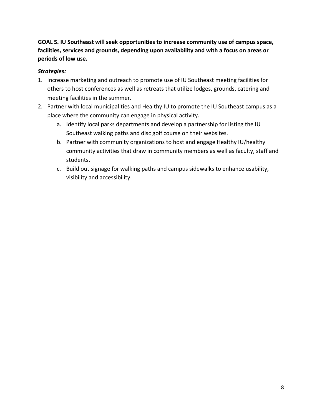**GOAL 5. IU Southeast will seek opportunities to increase community use of campus space, facilities, services and grounds, depending upon availability and with a focus on areas or periods of low use.** 

- 1. Increase marketing and outreach to promote use of IU Southeast meeting facilities for others to host conferences as well as retreats that utilize lodges, grounds, catering and meeting facilities in the summer.
- 2. Partner with local municipalities and Healthy IU to promote the IU Southeast campus as a place where the community can engage in physical activity.
	- a. Identify local parks departments and develop a partnership for listing the IU Southeast walking paths and disc golf course on their websites.
	- b. Partner with community organizations to host and engage Healthy IU/healthy community activities that draw in community members as well as faculty, staff and students.
	- c. Build out signage for walking paths and campus sidewalks to enhance usability, visibility and accessibility.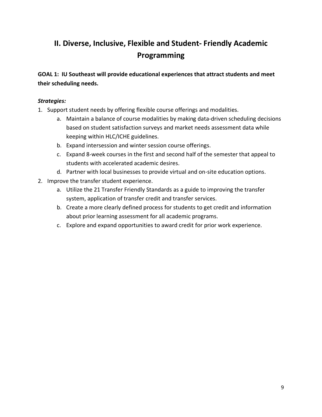# **II. Diverse, Inclusive, Flexible and Student- Friendly Academic Programming**

**GOAL 1: IU Southeast will provide educational experiences that attract students and meet their scheduling needs.**

- 1. Support student needs by offering flexible course offerings and modalities.
	- a. Maintain a balance of course modalities by making data-driven scheduling decisions based on student satisfaction surveys and market needs assessment data while keeping within HLC/ICHE guidelines.
	- b. Expand intersession and winter session course offerings.
	- c. Expand 8-week courses in the first and second half of the semester that appeal to students with accelerated academic desires.
	- d. Partner with local businesses to provide virtual and on-site education options.
- 2. Improve the transfer student experience.
	- a. Utilize the 21 Transfer Friendly Standards as a guide to improving the transfer system, application of transfer credit and transfer services.
	- b. Create a more clearly defined process for students to get credit and information about prior learning assessment for all academic programs.
	- c. Explore and expand opportunities to award credit for prior work experience.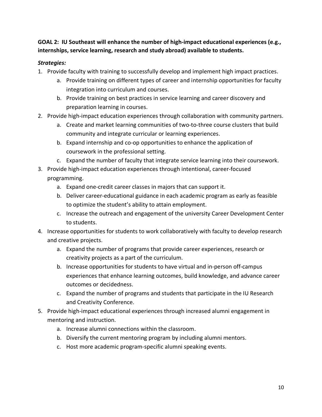**GOAL 2: IU Southeast will enhance the number of high-impact educational experiences (e.g., internships, service learning, research and study abroad) available to students.**

- 1. Provide faculty with training to successfully develop and implement high impact practices.
	- a. Provide training on different types of career and internship opportunities for faculty integration into curriculum and courses.
	- b. Provide training on best practices in service learning and career discovery and preparation learning in courses.
- 2. Provide high-impact education experiences through collaboration with community partners.
	- a. Create and market learning communities of two-to-three course clusters that build community and integrate curricular or learning experiences.
	- b. Expand internship and co-op opportunities to enhance the application of coursework in the professional setting.
	- c. Expand the number of faculty that integrate service learning into their coursework.
- 3. Provide high-impact education experiences through intentional, career-focused programming.
	- a. Expand one-credit career classes in majors that can support it.
	- b. Deliver career-educational guidance in each academic program as early as feasible to optimize the student's ability to attain employment.
	- c. Increase the outreach and engagement of the university Career Development Center to students.
- 4. Increase opportunities for students to work collaboratively with faculty to develop research and creative projects.
	- a. Expand the number of programs that provide career experiences, research or creativity projects as a part of the curriculum.
	- b. Increase opportunities for students to have virtual and in-person off-campus experiences that enhance learning outcomes, build knowledge, and advance career outcomes or decidedness.
	- c. Expand the number of programs and students that participate in the IU Research and Creativity Conference.
- 5. Provide high-impact educational experiences through increased alumni engagement in mentoring and instruction.
	- a. Increase alumni connections within the classroom.
	- b. Diversify the current mentoring program by including alumni mentors.
	- c. Host more academic program-specific alumni speaking events.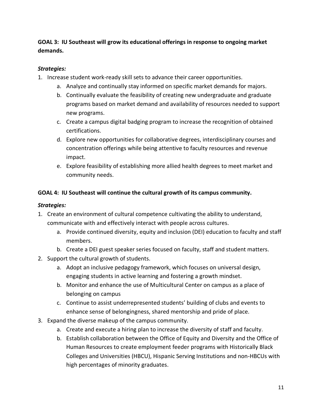**GOAL 3: IU Southeast will grow its educational offerings in response to ongoing market demands.** 

#### *Strategies:*

- 1. Increase student work-ready skill sets to advance their career opportunities.
	- a. Analyze and continually stay informed on specific market demands for majors.
	- b. Continually evaluate the feasibility of creating new undergraduate and graduate programs based on market demand and availability of resources needed to support new programs.
	- c. Create a campus digital badging program to increase the recognition of obtained certifications.
	- d. Explore new opportunities for collaborative degrees, interdisciplinary courses and concentration offerings while being attentive to faculty resources and revenue impact.
	- e. Explore feasibility of establishing more allied health degrees to meet market and community needs.

#### **GOAL 4: IU Southeast will continue the cultural growth of its campus community.**

- 1. Create an environment of cultural competence cultivating the ability to understand, communicate with and effectively interact with people across cultures.
	- a. Provide continued diversity, equity and inclusion (DEI) education to faculty and staff members.
	- b. Create a DEI guest speaker series focused on faculty, staff and student matters.
- 2. Support the cultural growth of students.
	- a. Adopt an inclusive pedagogy framework, which focuses on universal design, engaging students in active learning and fostering a growth mindset.
	- b. Monitor and enhance the use of Multicultural Center on campus as a place of belonging on campus
	- c. Continue to assist underrepresented students' building of clubs and events to enhance sense of belongingness, shared mentorship and pride of place.
- 3. Expand the diverse makeup of the campus community.
	- a. Create and execute a hiring plan to increase the diversity of staff and faculty.
	- b. Establish collaboration between the Office of Equity and Diversity and the Office of Human Resources to create employment feeder programs with Historically Black Colleges and Universities (HBCU), Hispanic Serving Institutions and non-HBCUs with high percentages of minority graduates.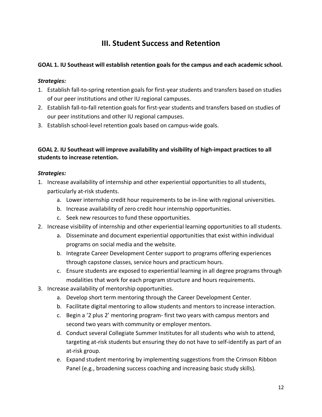## **III. Student Success and Retention**

## **GOAL 1. IU Southeast will establish retention goals for the campus and each academic school.**

#### *Strategies:*

- 1. Establish fall-to-spring retention goals for first-year students and transfers based on studies of our peer institutions and other IU regional campuses.
- 2. Establish fall-to-fall retention goals for first-year students and transfers based on studies of our peer institutions and other IU regional campuses.
- 3. Establish school-level retention goals based on campus-wide goals.

## **GOAL 2. IU Southeast will improve availability and visibility of high-impact practices to all students to increase retention.**

- 1. Increase availability of internship and other experiential opportunities to all students, particularly at-risk students.
	- a. Lower internship credit hour requirements to be in-line with regional universities.
	- b. Increase availability of zero credit hour internship opportunities.
	- c. Seek new resources to fund these opportunities.
- 2. Increase visibility of internship and other experiential learning opportunities to all students.
	- a. Disseminate and document experiential opportunities that exist within individual programs on social media and the website.
	- b. Integrate Career Development Center support to programs offering experiences through capstone classes, service hours and practicum hours.
	- c. Ensure students are exposed to experiential learning in all degree programs through modalities that work for each program structure and hours requirements.
- 3. Increase availability of mentorship opportunities.
	- a. Develop short term mentoring through the Career Development Center.
	- b. Facilitate digital mentoring to allow students and mentors to increase interaction.
	- c. Begin a '2 plus 2' mentoring program- first two years with campus mentors and second two years with community or employer mentors.
	- d. Conduct several Collegiate Summer Institutes for all students who wish to attend, targeting at-risk students but ensuring they do not have to self-identify as part of an at-risk group.
	- e. Expand student mentoring by implementing suggestions from the Crimson Ribbon Panel (e.g., broadening success coaching and increasing basic study skills).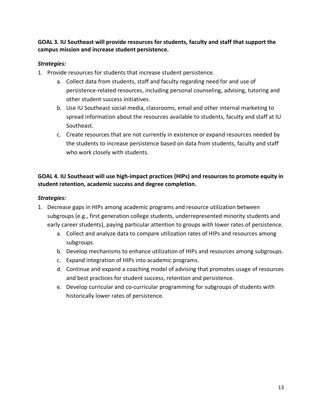**GOAL 3. IU Southeast will provide resources for students, faculty and staff that support the campus mission and increase student persistence.**

## *Strategies:*

- 1. Provide resources for students that increase student persistence.
	- a. Collect data from students, staff and faculty regarding need for and use of persistence-related resources, including personal counseling, advising, tutoring and other student success initiatives.
	- b. Use IU Southeast social media, classrooms, email and other internal marketing to spread information about the resources available to students, faculty and staff at IU Southeast.
	- c. Create resources that are not currently in existence or expand resources needed by the students to increase persistence based on data from students, faculty and staff who work closely with students.

## **GOAL 4. IU Southeast will use high-impact practices (HIPs) and resources to promote equity in student retention, academic success and degree completion.**

- 1. Decrease gaps in HIPs among academic programs and resource utilization between subgroups (e.g., first generation college students, underrepresented minority students and early career students), paying particular attention to groups with lower rates of persistence.
	- a. Collect and analyze data to compare utilization rates of HIPs and resources among subgroups.
	- b. Develop mechanisms to enhance utilization of HIPs and resources among subgroups.
	- c. Expand integration of HIPs into academic programs.
	- d. Continue and expand a coaching model of advising that promotes usage of resources and best practices for student success, retention and persistence.
	- e. Develop curricular and co-curricular programming for subgroups of students with historically lower rates of persistence.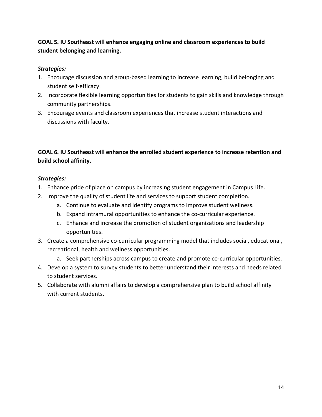## **GOAL 5. IU Southeast will enhance engaging online and classroom experiences to build student belonging and learning.**

#### *Strategies:*

- 1. Encourage discussion and group-based learning to increase learning, build belonging and student self-efficacy.
- 2. Incorporate flexible learning opportunities for students to gain skills and knowledge through community partnerships.
- 3. Encourage events and classroom experiences that increase student interactions and discussions with faculty.

## **GOAL 6. IU Southeast will enhance the enrolled student experience to increase retention and build school affinity.**

- 1. Enhance pride of place on campus by increasing student engagement in Campus Life.
- 2. Improve the quality of student life and services to support student completion.
	- a. Continue to evaluate and identify programs to improve student wellness.
	- b. Expand intramural opportunities to enhance the co-curricular experience.
	- c. Enhance and increase the promotion of student organizations and leadership opportunities.
- 3. Create a comprehensive co-curricular programming model that includes social, educational, recreational, health and wellness opportunities.
	- a. Seek partnerships across campus to create and promote co-curricular opportunities.
- 4. Develop a system to survey students to better understand their interests and needs related to student services.
- 5. Collaborate with alumni affairs to develop a comprehensive plan to build school affinity with current students.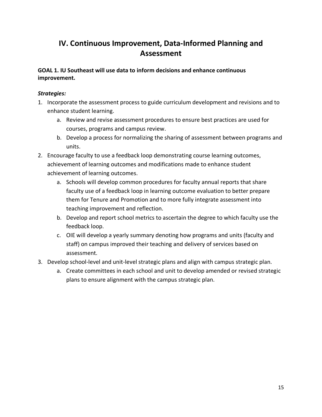## **IV. Continuous Improvement, Data-Informed Planning and Assessment**

## **GOAL 1. IU Southeast will use data to inform decisions and enhance continuous improvement.**

- 1. Incorporate the assessment process to guide curriculum development and revisions and to enhance student learning.
	- a. Review and revise assessment procedures to ensure best practices are used for courses, programs and campus review.
	- b. Develop a process for normalizing the sharing of assessment between programs and units.
- 2. Encourage faculty to use a feedback loop demonstrating course learning outcomes, achievement of learning outcomes and modifications made to enhance student achievement of learning outcomes.
	- a. Schools will develop common procedures for faculty annual reports that share faculty use of a feedback loop in learning outcome evaluation to better prepare them for Tenure and Promotion and to more fully integrate assessment into teaching improvement and reflection.
	- b. Develop and report school metrics to ascertain the degree to which faculty use the feedback loop.
	- c. OIE will develop a yearly summary denoting how programs and units (faculty and staff) on campus improved their teaching and delivery of services based on assessment.
- 3. Develop school-level and unit-level strategic plans and align with campus strategic plan.
	- a. Create committees in each school and unit to develop amended or revised strategic plans to ensure alignment with the campus strategic plan.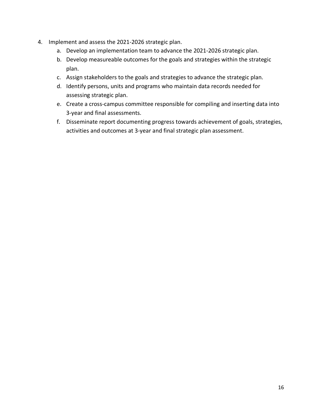- 4. Implement and assess the 2021-2026 strategic plan.
	- a. Develop an implementation team to advance the 2021-2026 strategic plan.
	- b. Develop measureable outcomes for the goals and strategies within the strategic plan.
	- c. Assign stakeholders to the goals and strategies to advance the strategic plan.
	- d. Identify persons, units and programs who maintain data records needed for assessing strategic plan.
	- e. Create a cross-campus committee responsible for compiling and inserting data into 3-year and final assessments.
	- f. Disseminate report documenting progress towards achievement of goals, strategies, activities and outcomes at 3-year and final strategic plan assessment.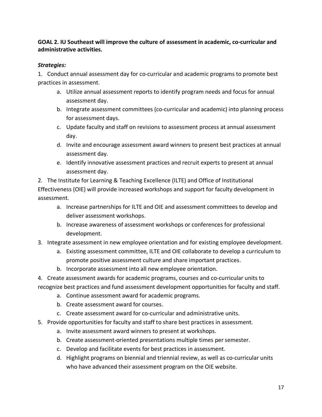## **GOAL 2. IU Southeast will improve the culture of assessment in academic, co-curricular and administrative activities.**

## *Strategies:*

1. Conduct annual assessment day for co-curricular and academic programs to promote best practices in assessment.

- a. Utilize annual assessment reports to identify program needs and focus for annual assessment day.
- b. Integrate assessment committees (co-curricular and academic) into planning process for assessment days.
- c. Update faculty and staff on revisions to assessment process at annual assessment day.
- d. Invite and encourage assessment award winners to present best practices at annual assessment day.
- e. Identify innovative assessment practices and recruit experts to present at annual assessment day.

2. The Institute for Learning & Teaching Excellence (ILTE) and Office of Institutional Effectiveness (OIE) will provide increased workshops and support for faculty development in assessment.

- a. Increase partnerships for ILTE and OIE and assessment committees to develop and deliver assessment workshops.
- b. Increase awareness of assessment workshops or conferences for professional development.
- 3. Integrate assessment in new employee orientation and for existing employee development.
	- a. Existing assessment committee, ILTE and OIE collaborate to develop a curriculum to promote positive assessment culture and share important practices.
	- b. Incorporate assessment into all new employee orientation.
- 4. Create assessment awards for academic programs, courses and co-curricular units to recognize best practices and fund assessment development opportunities for faculty and staff.
	- a. Continue assessment award for academic programs.
	- b. Create assessment award for courses.
	- c. Create assessment award for co-curricular and administrative units.
- 5. Provide opportunities for faculty and staff to share best practices in assessment.
	- a. Invite assessment award winners to present at workshops.
	- b. Create assessment-oriented presentations multiple times per semester.
	- c. Develop and facilitate events for best practices in assessment.
	- d. Highlight programs on biennial and triennial review, as well as co-curricular units who have advanced their assessment program on the OIE website.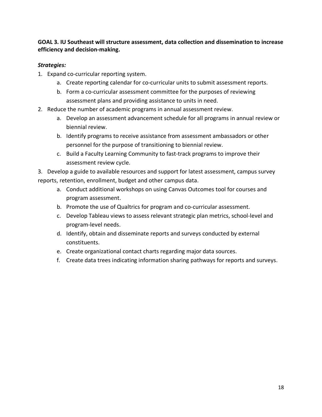## **GOAL 3. IU Southeast will structure assessment, data collection and dissemination to increase efficiency and decision-making.**

#### *Strategies:*

- 1. Expand co-curricular reporting system.
	- a. Create reporting calendar for co-curricular units to submit assessment reports.
	- b. Form a co-curricular assessment committee for the purposes of reviewing assessment plans and providing assistance to units in need.
- 2. Reduce the number of academic programs in annual assessment review.
	- a. Develop an assessment advancement schedule for all programs in annual review or biennial review.
	- b. Identify programs to receive assistance from assessment ambassadors or other personnel for the purpose of transitioning to biennial review.
	- c. Build a Faculty Learning Community to fast-track programs to improve their assessment review cycle.

3. Develop a guide to available resources and support for latest assessment, campus survey reports, retention, enrollment, budget and other campus data.

- a. Conduct additional workshops on using Canvas Outcomes tool for courses and program assessment.
- b. Promote the use of Qualtrics for program and co-curricular assessment.
- c. Develop Tableau views to assess relevant strategic plan metrics, school-level and program-level needs.
- d. Identify, obtain and disseminate reports and surveys conducted by external constituents.
- e. Create organizational contact charts regarding major data sources.
- f. Create data trees indicating information sharing pathways for reports and surveys.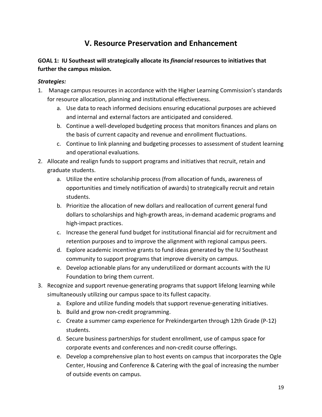## **V. Resource Preservation and Enhancement**

## **GOAL 1: IU Southeast will strategically allocate its** *financial* **resources to initiatives that further the campus mission.**

- 1. Manage campus resources in accordance with the Higher Learning Commission's standards for resource allocation, planning and institutional effectiveness.
	- a. Use data to reach informed decisions ensuring educational purposes are achieved and internal and external factors are anticipated and considered.
	- b. Continue a well-developed budgeting process that monitors finances and plans on the basis of current capacity and revenue and enrollment fluctuations.
	- c. Continue to link planning and budgeting processes to assessment of student learning and operational evaluations.
- 2. Allocate and realign funds to support programs and initiatives that recruit, retain and graduate students.
	- a. Utilize the entire scholarship process (from allocation of funds, awareness of opportunities and timely notification of awards) to strategically recruit and retain students.
	- b. Prioritize the allocation of new dollars and reallocation of current general fund dollars to scholarships and high-growth areas, in-demand academic programs and high-impact practices.
	- c. Increase the general fund budget for institutional financial aid for recruitment and retention purposes and to improve the alignment with regional campus peers.
	- d. Explore academic incentive grants to fund ideas generated by the IU Southeast community to support programs that improve diversity on campus.
	- e. Develop actionable plans for any underutilized or dormant accounts with the IU Foundation to bring them current.
- 3. Recognize and support revenue-generating programs that support lifelong learning while simultaneously utilizing our campus space to its fullest capacity.
	- a. Explore and utilize funding models that support revenue-generating initiatives.
	- b. Build and grow non-credit programming.
	- c. Create a summer camp experience for Prekindergarten through 12th Grade (P-12) students.
	- d. Secure business partnerships for student enrollment, use of campus space for corporate events and conferences and non-credit course offerings.
	- e. Develop a comprehensive plan to host events on campus that incorporates the Ogle Center, Housing and Conference & Catering with the goal of increasing the number of outside events on campus.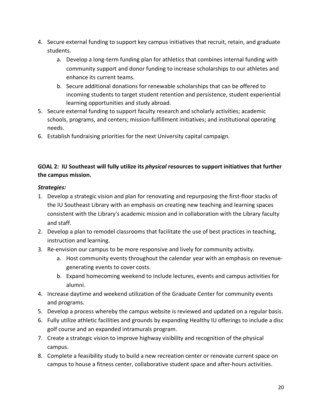- 4. Secure external funding to support key campus initiatives that recruit, retain, and graduate students.
	- a. Develop a long-term funding plan for athletics that combines internal funding with community support and donor funding to increase scholarships to our athletes and enhance its current teams.
	- b. Secure additional donations for renewable scholarships that can be offered to incoming students to target student retention and persistence, student experiential learning opportunities and study abroad.
- 5. Secure external funding to support faculty research and scholarly activities; academic schools, programs, and centers; mission-fulfillment initiatives; and institutional operating needs.
- 6. Establish fundraising priorities for the next University capital campaign.

## **GOAL 2: IU Southeast will fully utilize its** *physical* **resources to support initiatives that further the campus mission.**

- 1. Develop a strategic vision and plan for renovating and repurposing the first-floor stacks of the IU Southeast Library with an emphasis on creating new teaching and learning spaces consistent with the Library's academic mission and in collaboration with the Library faculty and staff.
- 2. Develop a plan to remodel classrooms that facilitate the use of best practices in teaching, instruction and learning.
- 3. Re-envision our campus to be more responsive and lively for community activity.
	- a. Host community events throughout the calendar year with an emphasis on revenuegenerating events to cover costs.
	- b. Expand homecoming weekend to include lectures, events and campus activities for alumni.
- 4. Increase daytime and weekend utilization of the Graduate Center for community events and programs.
- 5. Develop a process whereby the campus website is reviewed and updated on a regular basis.
- 6. Fully utilize athletic facilities and grounds by expanding Healthy IU offerings to include a disc golf course and an expanded intramurals program.
- 7. Create a strategic vision to improve highway visibility and recognition of the physical campus.
- 8. Complete a feasibility study to build a new recreation center or renovate current space on campus to house a fitness center, collaborative student space and after-hours activities.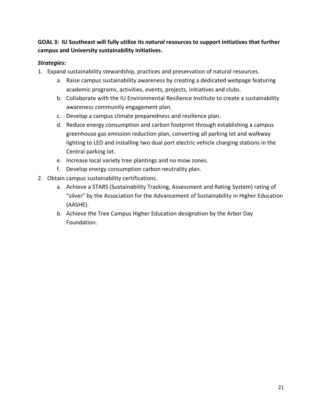## **GOAL 3: IU Southeast will fully utilize its** *natural* **resources to support initiatives that further campus and University sustainability initiatives.**

- 1. Expand sustainability stewardship, practices and preservation of natural resources.
	- a. Raise campus sustainability awareness by creating a dedicated webpage featuring academic programs, activities, events, projects, initiatives and clubs.
	- b. Collaborate with the IU Environmental Resilience Institute to create a sustainability awareness community engagement plan.
	- c. Develop a campus climate preparedness and resilience plan.
	- d. Reduce energy consumption and carbon footprint through establishing a campus greenhouse gas emission reduction plan, converting all parking lot and walkway lighting to LED and installing two dual port electric vehicle charging stations in the Central parking lot.
	- e. Increase local variety tree plantings and no mow zones.
	- f. Develop energy consumption carbon neutrality plan.
- 2. Obtain campus sustainability certifications.
	- a. Achieve a STARS (Sustainability Tracking, Assessment and Rating System) rating of "silver" by the Association for the Advancement of Sustainability in Higher Education (AASHE).
	- b. Achieve the Tree Campus Higher Education designation by the Arbor Day Foundation.